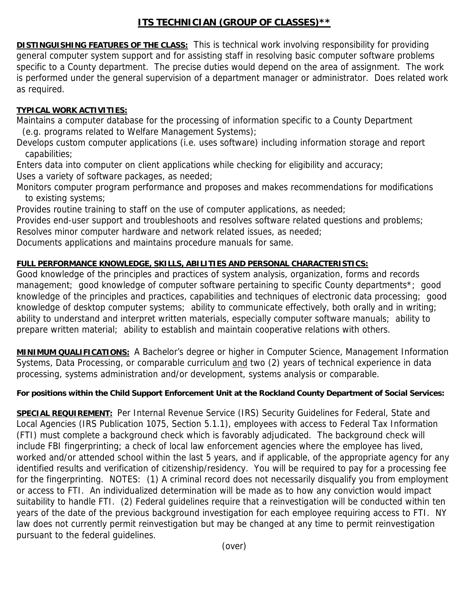## **ITS TECHNICIAN (GROUP OF CLASSES)\*\***

**DISTINGUISHING FEATURES OF THE CLASS:** This is technical work involving responsibility for providing general computer system support and for assisting staff in resolving basic computer software problems specific to a County department. The precise duties would depend on the area of assignment. The work is performed under the general supervision of a department manager or administrator. Does related work as required.

## **TYPICAL WORK ACTIVITIES:**

Maintains a computer database for the processing of information specific to a County Department (e.g. programs related to Welfare Management Systems);

Develops custom computer applications (i.e. uses software) including information storage and report capabilities;

Enters data into computer on client applications while checking for eligibility and accuracy; Uses a variety of software packages, as needed;

Monitors computer program performance and proposes and makes recommendations for modifications to existing systems;

Provides routine training to staff on the use of computer applications, as needed;

Provides end-user support and troubleshoots and resolves software related questions and problems;

Resolves minor computer hardware and network related issues, as needed;

Documents applications and maintains procedure manuals for same.

## **FULL PERFORMANCE KNOWLEDGE, SKILLS, ABILITIES AND PERSONAL CHARACTERISTICS:**

Good knowledge of the principles and practices of system analysis, organization, forms and records management; good knowledge of computer software pertaining to specific County departments\*; good knowledge of the principles and practices, capabilities and techniques of electronic data processing; good knowledge of desktop computer systems; ability to communicate effectively, both orally and in writing; ability to understand and interpret written materials, especially computer software manuals; ability to prepare written material; ability to establish and maintain cooperative relations with others.

**MINIMUM QUALIFICATIONS:** A Bachelor's degree or higher in Computer Science, Management Information Systems, Data Processing, or comparable curriculum and two (2) years of technical experience in data processing, systems administration and/or development, systems analysis or comparable.

## **For positions within the Child Support Enforcement Unit at the Rockland County Department of Social Services:**

**SPECIAL REQUIREMENT:** Per Internal Revenue Service (IRS) Security Guidelines for Federal, State and Local Agencies (IRS Publication 1075, Section 5.1.1), employees with access to Federal Tax Information (FTI) must complete a background check which is favorably adjudicated. The background check will include FBI fingerprinting; a check of local law enforcement agencies where the employee has lived, worked and/or attended school within the last 5 years, and if applicable, of the appropriate agency for any identified results and verification of citizenship/residency. You will be required to pay for a processing fee for the fingerprinting. NOTES: (1) A criminal record does not necessarily disqualify you from employment or access to FTI. An individualized determination will be made as to how any conviction would impact suitability to handle FTI. (2) Federal guidelines require that a reinvestigation will be conducted within ten years of the date of the previous background investigation for each employee requiring access to FTI. NY law does not currently permit reinvestigation but may be changed at any time to permit reinvestigation pursuant to the federal guidelines.